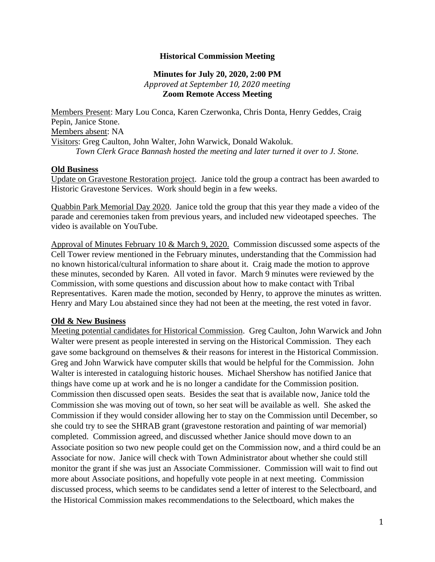## **Historical Commission Meeting**

## **Minutes for July 20, 2020, 2:00 PM** *Approved at September 10, 2020 meeting* **Zoom Remote Access Meeting**

Members Present: Mary Lou Conca, Karen Czerwonka, Chris Donta, Henry Geddes, Craig Pepin, Janice Stone. Members absent: NA Visitors: Greg Caulton, John Walter, John Warwick, Donald Wakoluk. *Town Clerk Grace Bannash hosted the meeting and later turned it over to J. Stone.*

### **Old Business**

Update on Gravestone Restoration project. Janice told the group a contract has been awarded to Historic Gravestone Services. Work should begin in a few weeks.

Quabbin Park Memorial Day 2020. Janice told the group that this year they made a video of the parade and ceremonies taken from previous years, and included new videotaped speeches. The video is available on YouTube.

Approval of Minutes February 10 & March 9, 2020. Commission discussed some aspects of the Cell Tower review mentioned in the February minutes, understanding that the Commission had no known historical/cultural information to share about it. Craig made the motion to approve these minutes, seconded by Karen. All voted in favor. March 9 minutes were reviewed by the Commission, with some questions and discussion about how to make contact with Tribal Representatives. Karen made the motion, seconded by Henry, to approve the minutes as written. Henry and Mary Lou abstained since they had not been at the meeting, the rest voted in favor.

#### **Old & New Business**

Meeting potential candidates for Historical Commission. Greg Caulton, John Warwick and John Walter were present as people interested in serving on the Historical Commission. They each gave some background on themselves & their reasons for interest in the Historical Commission. Greg and John Warwick have computer skills that would be helpful for the Commission. John Walter is interested in cataloguing historic houses. Michael Shershow has notified Janice that things have come up at work and he is no longer a candidate for the Commission position. Commission then discussed open seats. Besides the seat that is available now, Janice told the Commission she was moving out of town, so her seat will be available as well. She asked the Commission if they would consider allowing her to stay on the Commission until December, so she could try to see the SHRAB grant (gravestone restoration and painting of war memorial) completed. Commission agreed, and discussed whether Janice should move down to an Associate position so two new people could get on the Commission now, and a third could be an Associate for now. Janice will check with Town Administrator about whether she could still monitor the grant if she was just an Associate Commissioner. Commission will wait to find out more about Associate positions, and hopefully vote people in at next meeting. Commission discussed process, which seems to be candidates send a letter of interest to the Selectboard, and the Historical Commission makes recommendations to the Selectboard, which makes the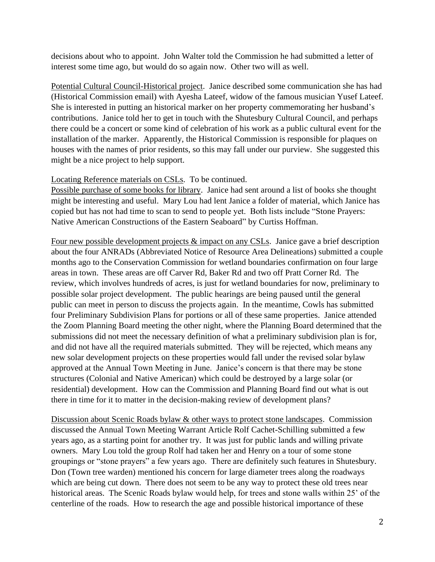decisions about who to appoint. John Walter told the Commission he had submitted a letter of interest some time ago, but would do so again now. Other two will as well.

Potential Cultural Council-Historical project. Janice described some communication she has had (Historical Commission email) with Ayesha Lateef, widow of the famous musician Yusef Lateef. She is interested in putting an historical marker on her property commemorating her husband's contributions. Janice told her to get in touch with the Shutesbury Cultural Council, and perhaps there could be a concert or some kind of celebration of his work as a public cultural event for the installation of the marker. Apparently, the Historical Commission is responsible for plaques on houses with the names of prior residents, so this may fall under our purview. She suggested this might be a nice project to help support.

# Locating Reference materials on CSLs. To be continued.

Possible purchase of some books for library. Janice had sent around a list of books she thought might be interesting and useful. Mary Lou had lent Janice a folder of material, which Janice has copied but has not had time to scan to send to people yet. Both lists include "Stone Prayers: Native American Constructions of the Eastern Seaboard" by Curtiss Hoffman.

Four new possible development projects & impact on any CSLs. Janice gave a brief description about the four ANRADs (Abbreviated Notice of Resource Area Delineations) submitted a couple months ago to the Conservation Commission for wetland boundaries confirmation on four large areas in town. These areas are off Carver Rd, Baker Rd and two off Pratt Corner Rd. The review, which involves hundreds of acres, is just for wetland boundaries for now, preliminary to possible solar project development. The public hearings are being paused until the general public can meet in person to discuss the projects again. In the meantime, Cowls has submitted four Preliminary Subdivision Plans for portions or all of these same properties. Janice attended the Zoom Planning Board meeting the other night, where the Planning Board determined that the submissions did not meet the necessary definition of what a preliminary subdivision plan is for, and did not have all the required materials submitted. They will be rejected, which means any new solar development projects on these properties would fall under the revised solar bylaw approved at the Annual Town Meeting in June. Janice's concern is that there may be stone structures (Colonial and Native American) which could be destroyed by a large solar (or residential) development. How can the Commission and Planning Board find out what is out there in time for it to matter in the decision-making review of development plans?

Discussion about Scenic Roads bylaw & other ways to protect stone landscapes. Commission discussed the Annual Town Meeting Warrant Article Rolf Cachet-Schilling submitted a few years ago, as a starting point for another try. It was just for public lands and willing private owners. Mary Lou told the group Rolf had taken her and Henry on a tour of some stone groupings or "stone prayers" a few years ago. There are definitely such features in Shutesbury. Don (Town tree warden) mentioned his concern for large diameter trees along the roadways which are being cut down. There does not seem to be any way to protect these old trees near historical areas. The Scenic Roads bylaw would help, for trees and stone walls within 25' of the centerline of the roads. How to research the age and possible historical importance of these